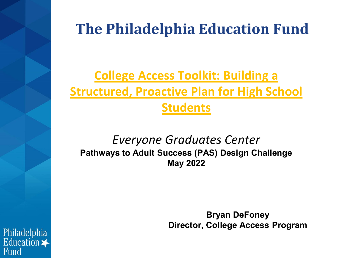# **The Philadelphia Education Fund**

# **College Access Toolkit: Building a Structured, Proactive Plan for High School Students**

### *Everyone Graduates Center* **Pathways to Adult Success (PAS) Design Challenge May 2022**

**Bryan DeFoney Director, College Access Program** 

Philadelphia Education  $\blacktriangleright$ Fund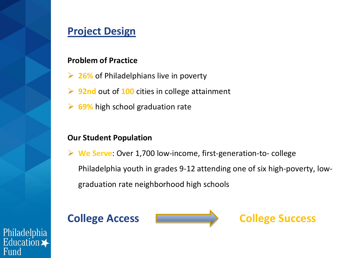### **Project Design**

#### **Problem of Practice**

- **26%** of Philadelphians live in poverty
- **92nd** out of **100** cities in college attainment
- **► 69%** high school graduation rate

#### **Our Student Population**

 **We Serve**: Over 1,700 low-income, first-generation-to- college Philadelphia youth in grades 9-12 attending one of six high-poverty, lowgraduation rate neighborhood high schools

**College Access College Success** 

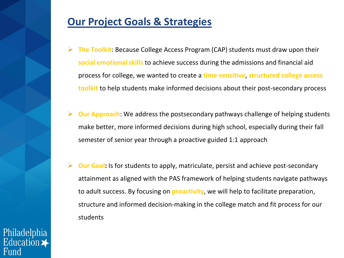### **Our Project Goals & Strategies**

- **The Toolkit**: Because College Access Program (CAP) students must draw upon their **social emotional skills** to achieve success during the admissions and financial aid process for college, we wanted to create a **time-sensitive**, **structured college access toolkit** to help students make informed decisions about their post-secondary process
- **Our Approach**: We address the postsecondary pathways challenge of helping students make better, more informed decisions during high school, especially during their fall semester of senior year through a proactive guided 1:1 approach
- **Our Goal:** Is for students to apply, matriculate, persist and achieve post-secondary attainment as aligned with the PAS framework of helping students navigate pathways to adult success. By focusing on **proactivity**, we will help to facilitate preparation, structure and informed decision-making in the college match and fit process for our students

Philadelphia Education  $\blacktriangleright$ Fund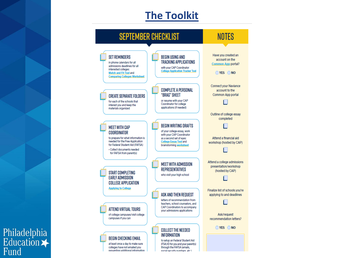## **The Toolkit**



Philadelphia<br>Education <del>X</del><br>Fund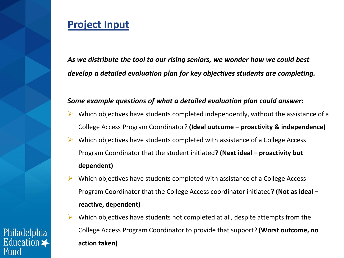### **Project Input**

*As we distribute the tool to our rising seniors, we wonder how we could best develop a detailed evaluation plan for key objectives students are completing.* 

#### *Some example questions of what a detailed evaluation plan could answer:*

- Which objectives have students completed independently, without the assistance of a College Access Program Coordinator? **(Ideal outcome – proactivity & independence)**
- Which objectives have students completed with assistance of a College Access Program Coordinator that the student initiated? **(Next ideal – proactivity but dependent)**
- Which objectives have students completed with assistance of a College Access Program Coordinator that the College Access coordinator initiated? **(Not as ideal – reactive, dependent)**
- Which objectives have students not completed at all, despite attempts from the College Access Program Coordinator to provide that support? **(Worst outcome, no action taken)**

Philadelphia Education  $\blacktriangleright$ Fund